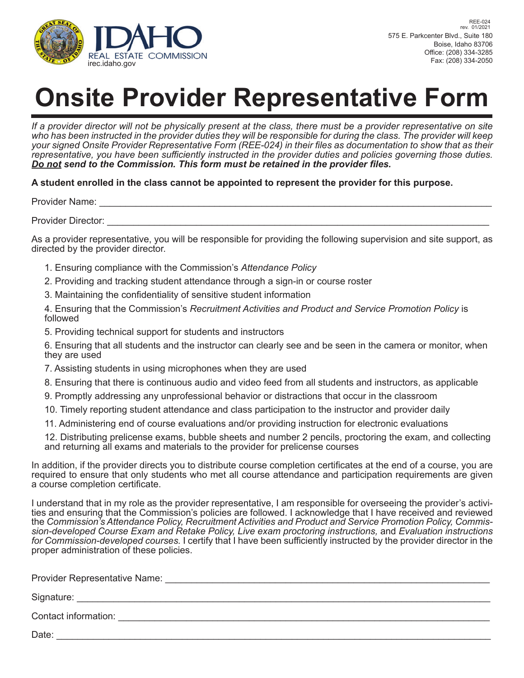

# **Onsite Provider Representative Form**

*If a provider director will not be physically present at the class, there must be a provider representative on site who has been instructed in the provider duties they will be responsible for during the class. The provider will keep your signed Onsite Provider Representative Form (REE-024) in their fi les as documentation to show that as their*  representative, you have been sufficiently instructed in the provider duties and policies governing those duties. **Do not** send to the Commission. This form must be retained in the provider files.

## **A student enrolled in the class cannot be appointed to represent the provider for this purpose.**

Provider Name: \_\_\_\_\_\_\_\_\_\_\_\_\_\_\_\_\_\_\_\_\_\_\_\_\_\_\_\_\_\_\_\_\_\_\_\_\_\_\_\_\_\_\_\_\_\_\_\_\_\_\_\_\_\_\_\_\_\_\_\_\_\_\_\_\_\_\_\_\_\_\_\_\_\_\_

Provider Director:

As a provider representative, you will be responsible for providing the following supervision and site support, as directed by the provider director.

- 1. Ensuring compliance with the Commission's *Attendance Policy*
- 2. Providing and tracking student attendance through a sign-in or course roster
- 3. Maintaining the confidentiality of sensitive student information

 4. Ensuring that the Commission's *Recruitment Activities and Product and Service Promotion Policy* is followed

- 5. Providing technical support for students and instructors
- 6. Ensuring that all students and the instructor can clearly see and be seen in the camera or monitor, when they are used
- 7. Assisting students in using microphones when they are used
- 8. Ensuring that there is continuous audio and video feed from all students and instructors, as applicable
- 9. Promptly addressing any unprofessional behavior or distractions that occur in the classroom
- 10. Timely reporting student attendance and class participation to the instructor and provider daily
- 11. Administering end of course evaluations and/or providing instruction for electronic evaluations

 12. Distributing prelicense exams, bubble sheets and number 2 pencils, proctoring the exam, and collecting and returning all exams and materials to the provider for prelicense courses

In addition, if the provider directs you to distribute course completion certificates at the end of a course, you are required to ensure that only students who met all course attendance and participation requirements are given a course completion certificate.

I understand that in my role as the provider representative, I am responsible for overseeing the provider's activities and ensuring that the Commission's policies are followed. I acknowledge that I have received and reviewed the *Commission's Attendance Policy, Recruitment Activities and Product and Service Promotion Policy, Commission-developed Course Exam and Retake Policy, Live exam proctoring instructions,* and *Evaluation instructions*  for Commission-developed courses. I certify that I have been sufficiently instructed by the provider director in the proper administration of these policies.

| <b>Provider Representative Name:</b> |  |
|--------------------------------------|--|
| Signature:                           |  |
| Contact information:                 |  |
| Date:                                |  |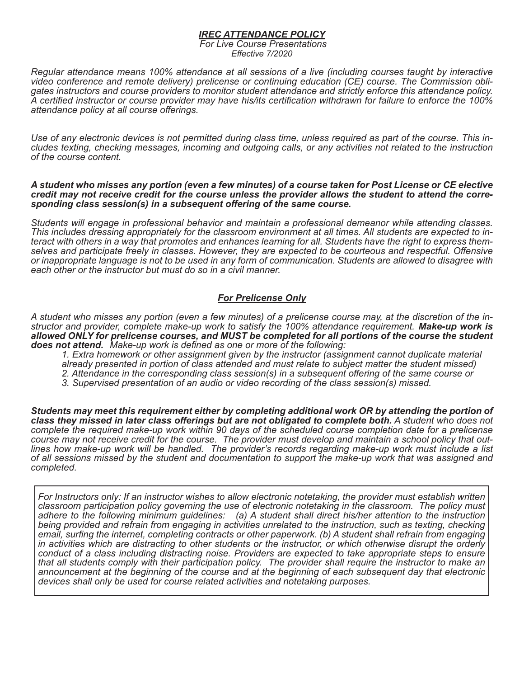#### *IREC ATTENDANCE POLICY*

*For Live Course Presentations Effective 7/2020*

*Regular attendance means 100% attendance at all sessions of a live (including courses taught by interactive*  gates instructors and course providers to monitor student attendance and strictly enforce this attendance policy. *A certified instructor or course provider may have his/its certification withdrawn for failure to enforce the 100% attendance policy at all course offerings.* 

Use of any electronic devices is not permitted during class time, unless required as part of the course. This in-<br>cludes texting, checking messages, incoming and outgoing calls, or any activities not related to the instruc *of the course content.*

*A student who misses any portion (even a few minutes) of a course taken for Post License or CE elective credit may not receive credit for the course unless the provider allows the student to attend the corre- sponding class session(s) in a subsequent offering of the same course.*

*Students will engage in professional behavior and maintain a professional demeanor while attending classes.*  teract with others in a way that promotes and enhances learning for all. Students have the right to express them<br>selves and participate freely in classes. However, they are expected to be courteous and respectful. Offensiv *or inappropriate language is not to be used in any form of communication. Students are allowed to disagree with each other or the instructor but must do so in a civil manner.*

## *For Prelicense Only*

*A student who misses any portion (even a few minutes) of a prelicense course may, at the discretion of the instructor and provider, complete make-up work to satisfy the 100% attendance requirement. Make-up work is allowed ONLY for prelicense courses, and MUST be completed for all portions of the course the student does not attend. Make-up work is defined as one or more of the following:* 

*1. Extra homework or other assignment given by the instructor (assignment cannot duplicate material* 

- *already presented in portion of class attended and must relate to subject matter the student missed)*
- *2. Attendance in the corresponding class session(s) in a subsequent offering of the same course or*
- *3. Supervised presentation of an audio or video recording of the class session(s) missed.*

*Students may meet this requirement either by completing additional work OR by attending the portion of class they missed in later class offerings but are not obligated to complete both. A student who does not complete the required make-up work within 90 days of the scheduled course completion date for a prelicense*  lines how make-up work will be handled. The provider's records regarding make-up work must include a list *of all sessions missed by the student and documentation to support the make-up work that was assigned and completed.*

*For Instructors only: If an instructor wishes to allow electronic notetaking, the provider must establish written classroom participation policy governing the use of electronic notetaking in the classroom. The policy must adhere to the following minimum guidelines: (a) A student shall direct his/her attention to the instruction being provided and refrain from engaging in activities unrelated to the instruction, such as texting, checking email, surfing the internet, completing contracts or other paperwork. (b) A student shall refrain from engaging in activities which are distracting to other students or the instructor, or which otherwise disrupt the orderly conduct of a class including distracting noise. Providers are expected to take appropriate steps to ensure that all students comply with their participation policy. The provider shall require the instructor to make an announcement at the beginning of the course and at the beginning of each subsequent day that electronic devices shall only be used for course related activities and notetaking purposes.*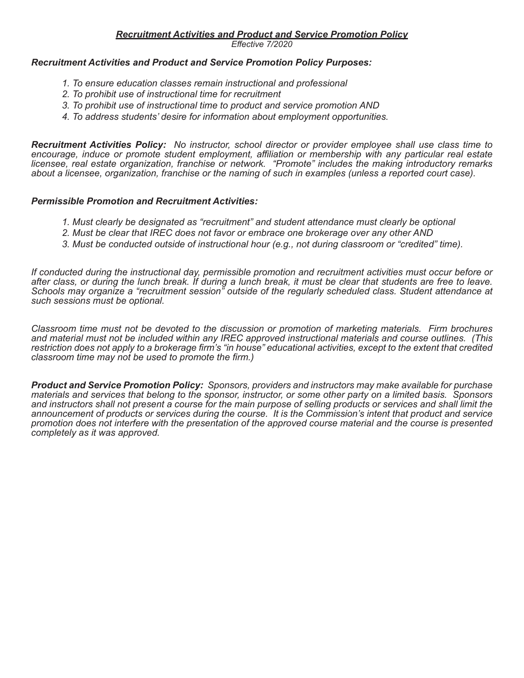*Effective 7/2020*

## *Recruitment Activities and Product and Service Promotion Policy Purposes:*

- *1. To ensure education classes remain instructional and professional*
- *2. To prohibit use of instructional time for recruitment*
- *3. To prohibit use of instructional time to product and service promotion AND*
- *4. To address students' desire for information about employment opportunities.*

*Recruitment Activities Policy: No instructor, school director or provider employee shall use class time to encourage, induce or promote student employment, affiliation or membership with any particular real estate licensee, real estate organization, franchise or network. "Promote" includes the making introductory remarks about a licensee, organization, franchise or the naming of such in examples (unless a reported court case).*

## *Permissible Promotion and Recruitment Activities:*

- *1. Must clearly be designated as "recruitment" and student attendance must clearly be optional*
- *2. Must be clear that IREC does not favor or embrace one brokerage over any other AND*
- *3. Must be conducted outside of instructional hour (e.g., not during classroom or "credited" time).*

*If conducted during the instructional day, permissible promotion and recruitment activities must occur before or after class, or during the lunch break. If during a lunch break, it must be clear that students are free to leave. Schools may organize a "recruitment session" outside of the regularly scheduled class. Student attendance at such sessions must be optional.*

*Classroom time must not be devoted to the discussion or promotion of marketing materials. Firm brochures and material must not be included within any IREC approved instructional materials and course outlines. (This restriction does not apply to a brokerage firm's "in house" educational activities, except to the extent that credited classroom time may not be used to promote the firm.)*

*Product and Service Promotion Policy: Sponsors, providers and instructors may make available for purchase materials and services that belong to the sponsor, instructor, or some other party on a limited basis. Sponsors and instructors shall not present a course for the main purpose of selling products or services and shall limit the announcement of products or services during the course. It is the Commission's intent that product and service promotion does not interfere with the presentation of the approved course material and the course is presented completely as it was approved.*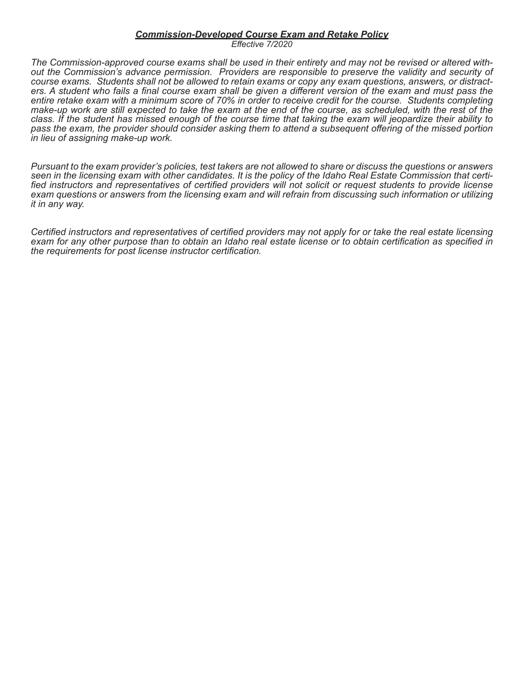#### *Commission-Developed Course Exam and Retake Policy*

*Effective 7/2020*

The Commission-approved course exams shall be used in their entirety and may not be revised or altered with-<br>out the Commission's advance permission. Providers are responsible to preserve the validity and security of<br>cours ers. A student who fails a final course exam shall be given a different version of the exam and must pass the *entire retake exam with a minimum score of 70% in order to receive credit for the course. Students completing make-up work are still expected to take the exam at the end of the course, as scheduled, with the rest of the class. If the student has missed enough of the course time that taking the exam will jeopardize their ability to pass the exam, the provider should consider asking them to attend a subsequent offering of the missed portion in lieu of assigning make-up work.* 

*Pursuant to the exam provider's policies, test takers are not allowed to share or discuss the questions or answers*  fied instructors and representatives of certified providers will not solicit or request students to provide license *exam questions or answers from the licensing exam and will refrain from discussing such information or utilizing it in any way.* 

*Certified instructors and representatives of certified providers may not apply for or take the real estate licensing exam for any other purpose than to obtain an Idaho real estate license or to obtain certification as specified in the requirements for post license instructor certification.*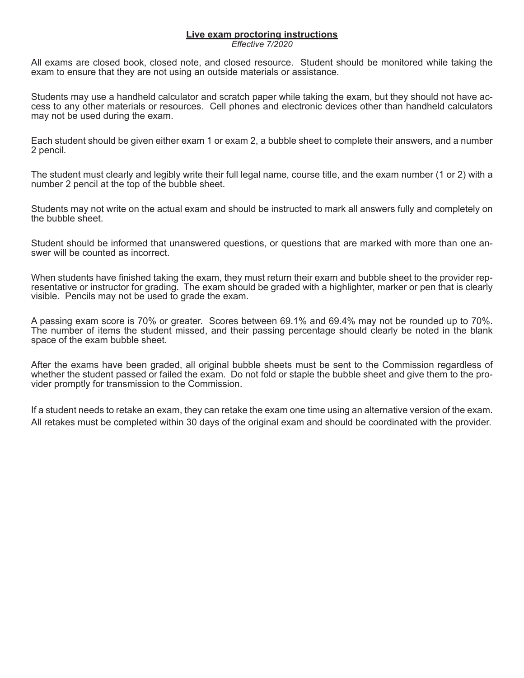## **Live exam proctoring instructions**

*Effective 7/2020*

All exams are closed book, closed note, and closed resource. Student should be monitored while taking the exam to ensure that they are not using an outside materials or assistance.

Students may use a handheld calculator and scratch paper while taking the exam, but they should not have access to any other materials or resources. Cell phones and electronic devices other than handheld calculators may not be used during the exam.

Each student should be given either exam 1 or exam 2, a bubble sheet to complete their answers, and a number 2 pencil.

The student must clearly and legibly write their full legal name, course title, and the exam number (1 or 2) with a number 2 pencil at the top of the bubble sheet.

Students may not write on the actual exam and should be instructed to mark all answers fully and completely on the bubble sheet.

Student should be informed that unanswered questions, or questions that are marked with more than one answer will be counted as incorrect.

When students have finished taking the exam, they must return their exam and bubble sheet to the provider representative or instructor for grading. The exam should be graded with a highlighter, marker or pen that is clearly visible. Pencils may not be used to grade the exam.

A passing exam score is 70% or greater. Scores between 69.1% and 69.4% may not be rounded up to 70%. The number of items the student missed, and their passing percentage should clearly be noted in the blank space of the exam bubble sheet.

After the exams have been graded, all original bubble sheets must be sent to the Commission regardless of whether the student passed or failed the exam. Do not fold or staple the bubble sheet and give them to the pro-<br>vider promptly for transmission to the Commission.

If a student needs to retake an exam, they can retake the exam one time using an alternative version of the exam. All retakes must be completed within 30 days of the original exam and should be coordinated with the provider.